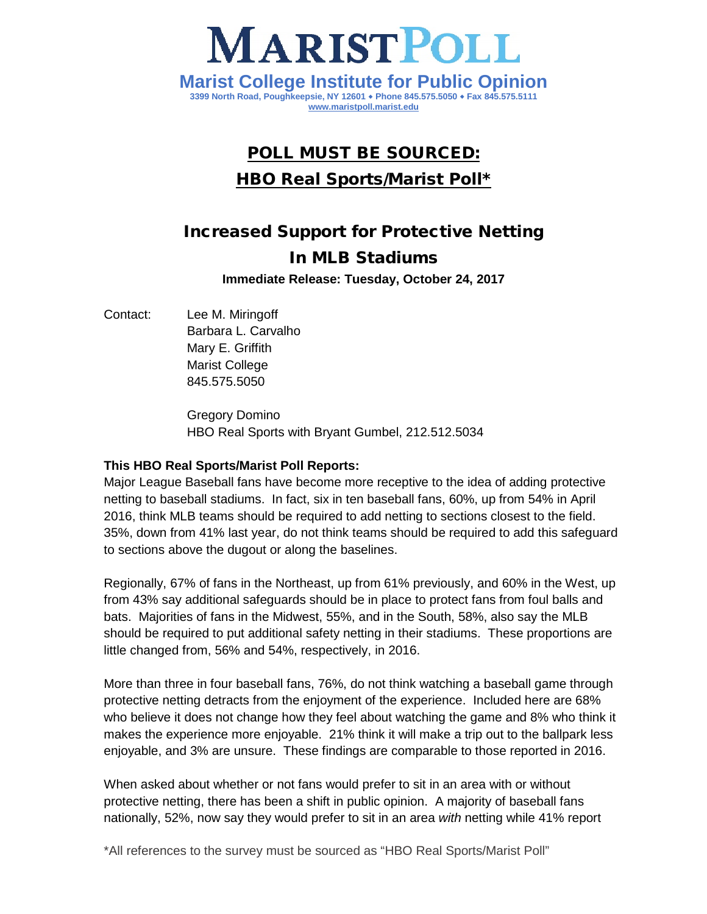

## POLL MUST BE SOURCED: HBO Real Sports/Marist Poll\*

# Increased Support for Protective Netting In MLB Stadiums

**Immediate Release: Tuesday, October 24, 2017**

Contact: Lee M. Miringoff Barbara L. Carvalho Mary E. Griffith Marist College 845.575.5050

> Gregory Domino HBO Real Sports with Bryant Gumbel, 212.512.5034

### **This HBO Real Sports/Marist Poll Reports:**

Major League Baseball fans have become more receptive to the idea of adding protective netting to baseball stadiums. In fact, six in ten baseball fans, 60%, up from 54% in April 2016, think MLB teams should be required to add netting to sections closest to the field. 35%, down from 41% last year, do not think teams should be required to add this safeguard to sections above the dugout or along the baselines.

Regionally, 67% of fans in the Northeast, up from 61% previously, and 60% in the West, up from 43% say additional safeguards should be in place to protect fans from foul balls and bats. Majorities of fans in the Midwest, 55%, and in the South, 58%, also say the MLB should be required to put additional safety netting in their stadiums. These proportions are little changed from, 56% and 54%, respectively, in 2016.

More than three in four baseball fans, 76%, do not think watching a baseball game through protective netting detracts from the enjoyment of the experience. Included here are 68% who believe it does not change how they feel about watching the game and 8% who think it makes the experience more enjoyable. 21% think it will make a trip out to the ballpark less enjoyable, and 3% are unsure. These findings are comparable to those reported in 2016.

When asked about whether or not fans would prefer to sit in an area with or without protective netting, there has been a shift in public opinion. A majority of baseball fans nationally, 52%, now say they would prefer to sit in an area *with* netting while 41% report

\*All references to the survey must be sourced as "HBO Real Sports/Marist Poll"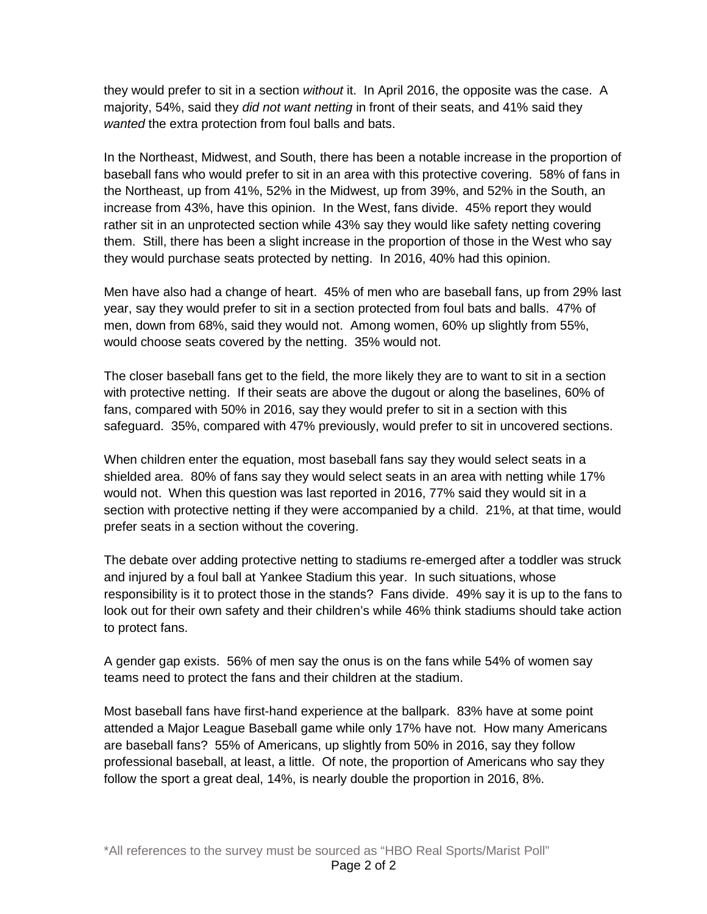they would prefer to sit in a section *without* it. In April 2016, the opposite was the case. A majority, 54%, said they *did not want netting* in front of their seats, and 41% said they *wanted* the extra protection from foul balls and bats.

In the Northeast, Midwest, and South, there has been a notable increase in the proportion of baseball fans who would prefer to sit in an area with this protective covering. 58% of fans in the Northeast, up from 41%, 52% in the Midwest, up from 39%, and 52% in the South, an increase from 43%, have this opinion. In the West, fans divide. 45% report they would rather sit in an unprotected section while 43% say they would like safety netting covering them. Still, there has been a slight increase in the proportion of those in the West who say they would purchase seats protected by netting. In 2016, 40% had this opinion.

Men have also had a change of heart. 45% of men who are baseball fans, up from 29% last year, say they would prefer to sit in a section protected from foul bats and balls. 47% of men, down from 68%, said they would not. Among women, 60% up slightly from 55%, would choose seats covered by the netting. 35% would not.

The closer baseball fans get to the field, the more likely they are to want to sit in a section with protective netting. If their seats are above the dugout or along the baselines, 60% of fans, compared with 50% in 2016, say they would prefer to sit in a section with this safeguard. 35%, compared with 47% previously, would prefer to sit in uncovered sections.

When children enter the equation, most baseball fans say they would select seats in a shielded area. 80% of fans say they would select seats in an area with netting while 17% would not. When this question was last reported in 2016, 77% said they would sit in a section with protective netting if they were accompanied by a child. 21%, at that time, would prefer seats in a section without the covering.

The debate over adding protective netting to stadiums re-emerged after a toddler was struck and injured by a foul ball at Yankee Stadium this year. In such situations, whose responsibility is it to protect those in the stands? Fans divide. 49% say it is up to the fans to look out for their own safety and their children's while 46% think stadiums should take action to protect fans.

A gender gap exists. 56% of men say the onus is on the fans while 54% of women say teams need to protect the fans and their children at the stadium.

Most baseball fans have first-hand experience at the ballpark. 83% have at some point attended a Major League Baseball game while only 17% have not. How many Americans are baseball fans? 55% of Americans, up slightly from 50% in 2016, say they follow professional baseball, at least, a little. Of note, the proportion of Americans who say they follow the sport a great deal, 14%, is nearly double the proportion in 2016, 8%.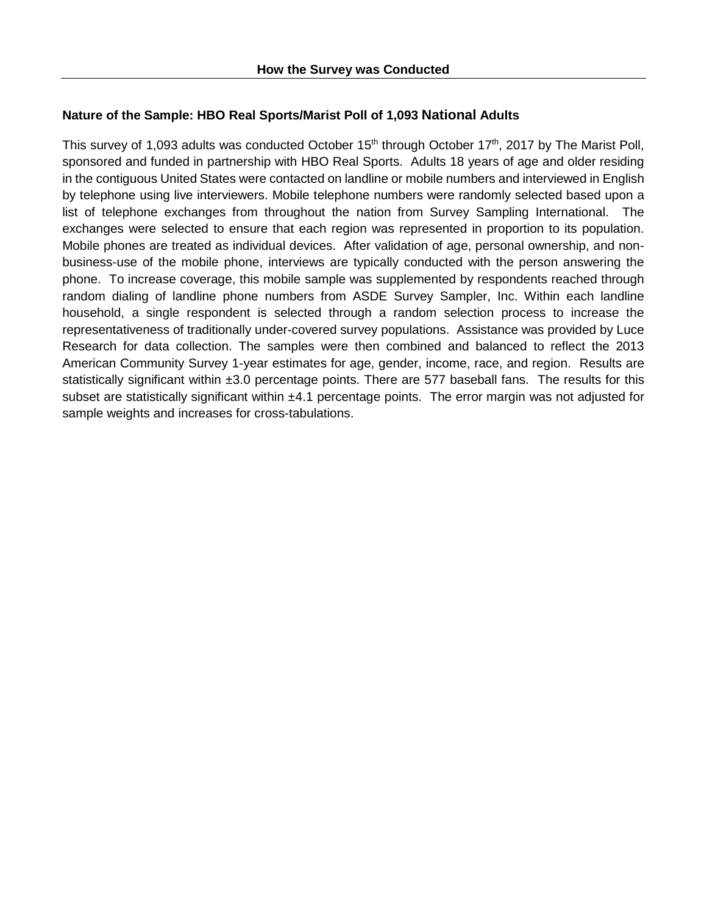### **Nature of the Sample: HBO Real Sports/Marist Poll of 1,093 National Adults**

This survey of 1,093 adults was conducted October 15<sup>th</sup> through October 17<sup>th</sup>, 2017 by The Marist Poll, sponsored and funded in partnership with HBO Real Sports. Adults 18 years of age and older residing in the contiguous United States were contacted on landline or mobile numbers and interviewed in English by telephone using live interviewers. Mobile telephone numbers were randomly selected based upon a list of telephone exchanges from throughout the nation from Survey Sampling International. The exchanges were selected to ensure that each region was represented in proportion to its population. Mobile phones are treated as individual devices. After validation of age, personal ownership, and nonbusiness-use of the mobile phone, interviews are typically conducted with the person answering the phone. To increase coverage, this mobile sample was supplemented by respondents reached through random dialing of landline phone numbers from ASDE Survey Sampler, Inc. Within each landline household, a single respondent is selected through a random selection process to increase the representativeness of traditionally under-covered survey populations. Assistance was provided by Luce Research for data collection. The samples were then combined and balanced to reflect the 2013 American Community Survey 1-year estimates for age, gender, income, race, and region. Results are statistically significant within ±3.0 percentage points. There are 577 baseball fans. The results for this subset are statistically significant within  $±4.1$  percentage points. The error margin was not adjusted for sample weights and increases for cross-tabulations.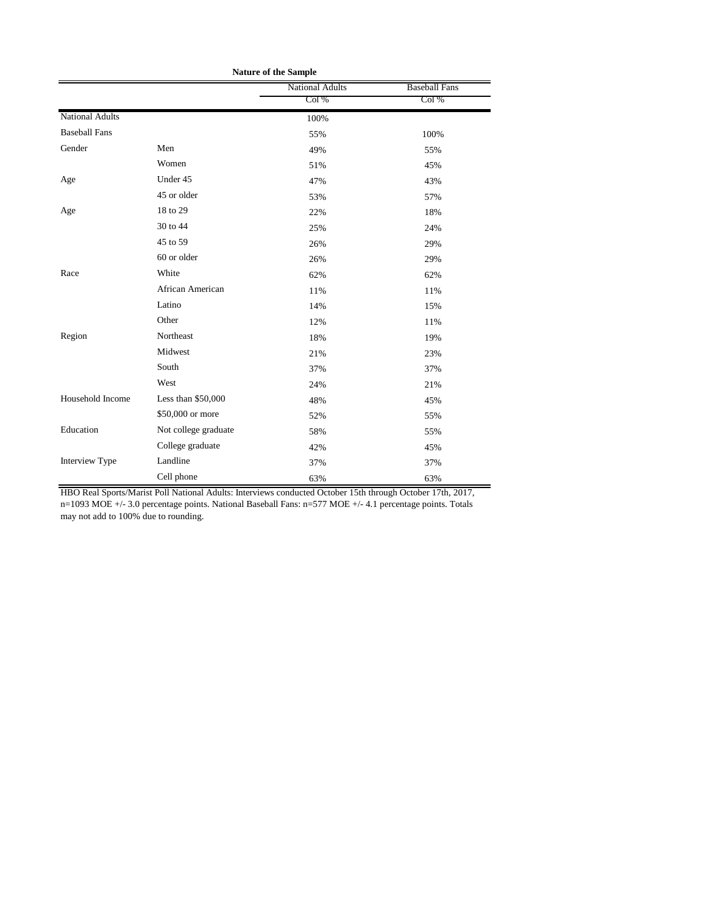| <b>Nature of the Sample</b> |                      |                        |                      |  |
|-----------------------------|----------------------|------------------------|----------------------|--|
|                             |                      | <b>National Adults</b> | <b>Baseball Fans</b> |  |
|                             |                      | Col %                  | Col %                |  |
| <b>National Adults</b>      |                      | 100%                   |                      |  |
| <b>Baseball Fans</b>        |                      | 55%                    | 100%                 |  |
| Gender                      | Men                  | 49%                    | 55%                  |  |
|                             | Women                | 51%                    | 45%                  |  |
| Age                         | Under 45             | 47%                    | 43%                  |  |
|                             | 45 or older          | 53%                    | 57%                  |  |
| Age                         | 18 to 29             | 22%                    | 18%                  |  |
|                             | 30 to 44             | 25%                    | 24%                  |  |
|                             | 45 to 59             | 26%                    | 29%                  |  |
|                             | 60 or older          | 26%                    | 29%                  |  |
| Race                        | White                | 62%                    | 62%                  |  |
|                             | African American     | 11%                    | 11%                  |  |
|                             | Latino               | 14%                    | 15%                  |  |
|                             | Other                | 12%                    | 11%                  |  |
| Region                      | Northeast            | 18%                    | 19%                  |  |
|                             | Midwest              | 21%                    | 23%                  |  |
|                             | South                | 37%                    | 37%                  |  |
|                             | West                 | 24%                    | 21%                  |  |
| Household Income            | Less than \$50,000   | 48%                    | 45%                  |  |
|                             | \$50,000 or more     | 52%                    | 55%                  |  |
| Education                   | Not college graduate | 58%                    | 55%                  |  |
|                             | College graduate     | 42%                    | 45%                  |  |
| Interview Type              | Landline             | 37%                    | 37%                  |  |
|                             | Cell phone           | 63%                    | 63%                  |  |

HBO Real Sports/Marist Poll National Adults: Interviews conducted October 15th through October 17th, 2017, n=1093 MOE +/- 3.0 percentage points. National Baseball Fans: n=577 MOE +/- 4.1 percentage points. Totals may not add to 100% due to rounding.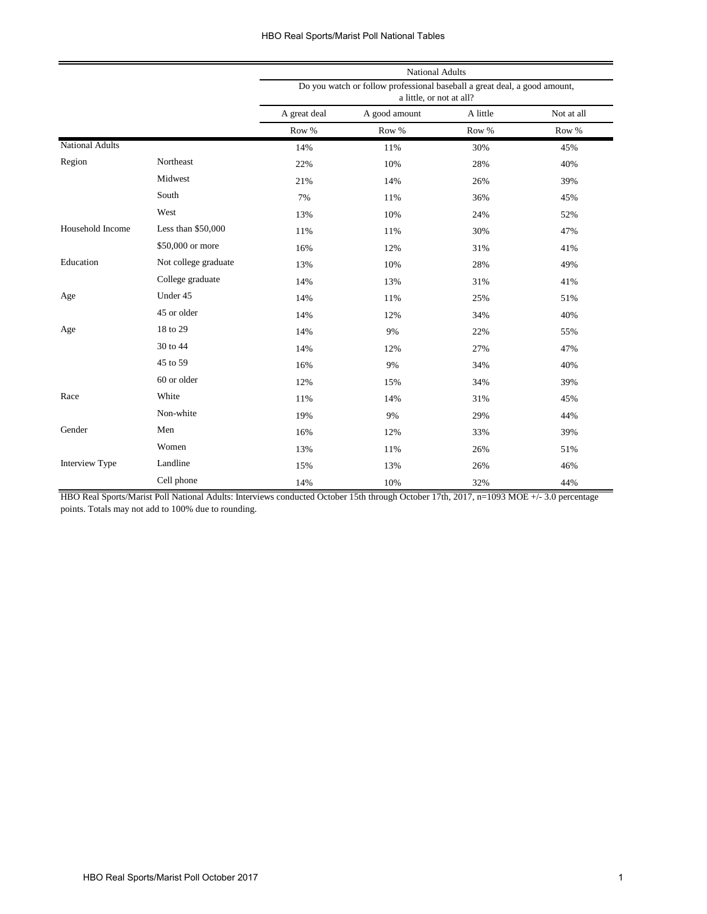|                        |                      | <b>National Adults</b>                                                                                |               |          |            |  |
|------------------------|----------------------|-------------------------------------------------------------------------------------------------------|---------------|----------|------------|--|
|                        |                      | Do you watch or follow professional baseball a great deal, a good amount,<br>a little, or not at all? |               |          |            |  |
|                        |                      | A great deal                                                                                          | A good amount | A little | Not at all |  |
|                        |                      | Row %                                                                                                 | Row %         | Row %    | Row %      |  |
| <b>National Adults</b> |                      | 14%                                                                                                   | 11%           | 30%      | 45%        |  |
| Region                 | Northeast            | 22%                                                                                                   | 10%           | 28%      | 40%        |  |
|                        | Midwest              | 21%                                                                                                   | 14%           | 26%      | 39%        |  |
|                        | South                | 7%                                                                                                    | 11%           | 36%      | 45%        |  |
|                        | West                 | 13%                                                                                                   | 10%           | 24%      | 52%        |  |
| Household Income       | Less than \$50,000   | 11%                                                                                                   | 11%           | 30%      | 47%        |  |
|                        | \$50,000 or more     | 16%                                                                                                   | 12%           | 31%      | 41%        |  |
| Education              | Not college graduate | 13%                                                                                                   | 10%           | 28%      | 49%        |  |
|                        | College graduate     | 14%                                                                                                   | 13%           | 31%      | 41%        |  |
| Age                    | Under 45             | 14%                                                                                                   | 11%           | 25%      | 51%        |  |
|                        | 45 or older          | 14%                                                                                                   | 12%           | 34%      | 40%        |  |
| Age                    | 18 to 29             | 14%                                                                                                   | 9%            | 22%      | 55%        |  |
|                        | 30 to 44             | 14%                                                                                                   | 12%           | 27%      | 47%        |  |
|                        | 45 to 59             | 16%                                                                                                   | 9%            | 34%      | 40%        |  |
|                        | 60 or older          | 12%                                                                                                   | 15%           | 34%      | 39%        |  |
| Race                   | White                | 11%                                                                                                   | 14%           | 31%      | 45%        |  |
|                        | Non-white            | 19%                                                                                                   | 9%            | 29%      | 44%        |  |
| Gender                 | Men                  | 16%                                                                                                   | 12%           | 33%      | 39%        |  |
|                        | Women                | 13%                                                                                                   | 11%           | 26%      | 51%        |  |
| Interview Type         | Landline             | 15%                                                                                                   | 13%           | 26%      | 46%        |  |
|                        | Cell phone           | 14%                                                                                                   | 10%           | 32%      | 44%        |  |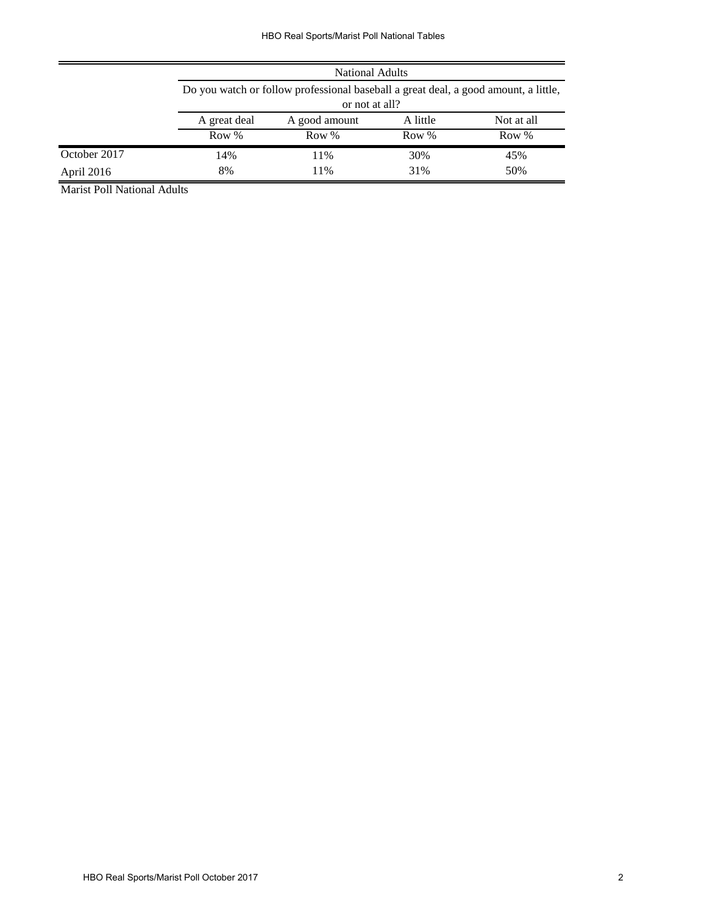|              | <b>National Adults</b> |                                                                                     |       |       |  |  |  |
|--------------|------------------------|-------------------------------------------------------------------------------------|-------|-------|--|--|--|
|              |                        | Do you watch or follow professional baseball a great deal, a good amount, a little, |       |       |  |  |  |
|              |                        | or not at all?                                                                      |       |       |  |  |  |
|              | A great deal           | A little<br>Not at all<br>A good amount                                             |       |       |  |  |  |
|              | Row %                  | Row %                                                                               | Row % | Row % |  |  |  |
| October 2017 | 14%                    | 11%                                                                                 | 30%   | 45%   |  |  |  |
| April 2016   | 8%                     | 11%                                                                                 | 31%   | 50%   |  |  |  |

Marist Poll National Adults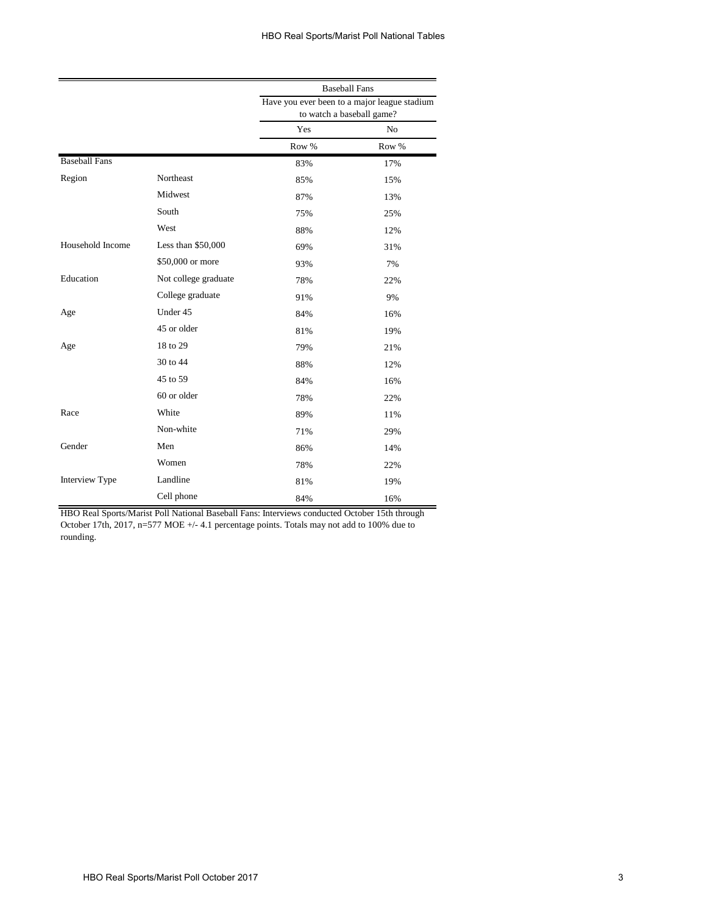|                      |                      | <b>Baseball Fans</b>                                                      |       |  |
|----------------------|----------------------|---------------------------------------------------------------------------|-------|--|
|                      |                      | Have you ever been to a major league stadium<br>to watch a baseball game? |       |  |
|                      |                      | Yes                                                                       | No    |  |
|                      |                      | Row %                                                                     | Row % |  |
| <b>Baseball Fans</b> |                      | 83%                                                                       | 17%   |  |
| Region               | Northeast            | 85%                                                                       | 15%   |  |
|                      | Midwest              | 87%                                                                       | 13%   |  |
|                      | South                | 75%                                                                       | 25%   |  |
|                      | West                 | 88%                                                                       | 12%   |  |
| Household Income     | Less than $$50,000$  | 69%                                                                       | 31%   |  |
|                      | \$50,000 or more     | 93%                                                                       | 7%    |  |
| Education            | Not college graduate | 78%                                                                       | 22%   |  |
|                      | College graduate     | 91%                                                                       | 9%    |  |
| Age                  | Under 45             | 84%                                                                       | 16%   |  |
|                      | 45 or older          | 81%                                                                       | 19%   |  |
| Age                  | 18 to 29             | 79%                                                                       | 21%   |  |
|                      | 30 to 44             | 88%                                                                       | 12%   |  |
|                      | 45 to 59             | 84%                                                                       | 16%   |  |
|                      | 60 or older          | 78%                                                                       | 22%   |  |
| Race                 | White                | 89%                                                                       | 11%   |  |
|                      | Non-white            | 71%                                                                       | 29%   |  |
| Gender               | Men                  | 86%                                                                       | 14%   |  |
|                      | Women                | 78%                                                                       | 22%   |  |
| Interview Type       | Landline             | 81%                                                                       | 19%   |  |
|                      | Cell phone           | 84%                                                                       | 16%   |  |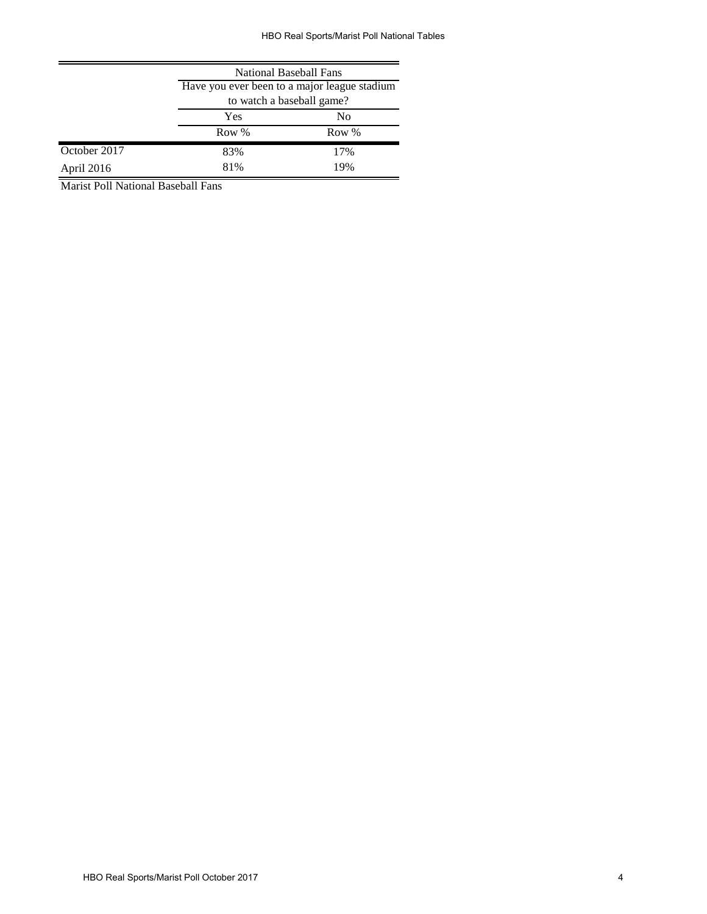|              | <b>National Baseball Fans</b>                |     |  |  |  |
|--------------|----------------------------------------------|-----|--|--|--|
|              | Have you ever been to a major league stadium |     |  |  |  |
|              | to watch a baseball game?                    |     |  |  |  |
|              | Yes<br>N <sub>0</sub>                        |     |  |  |  |
|              | Row %<br>Row %                               |     |  |  |  |
| October 2017 | 83%                                          | 17% |  |  |  |
| April 2016   | 81%                                          | 19% |  |  |  |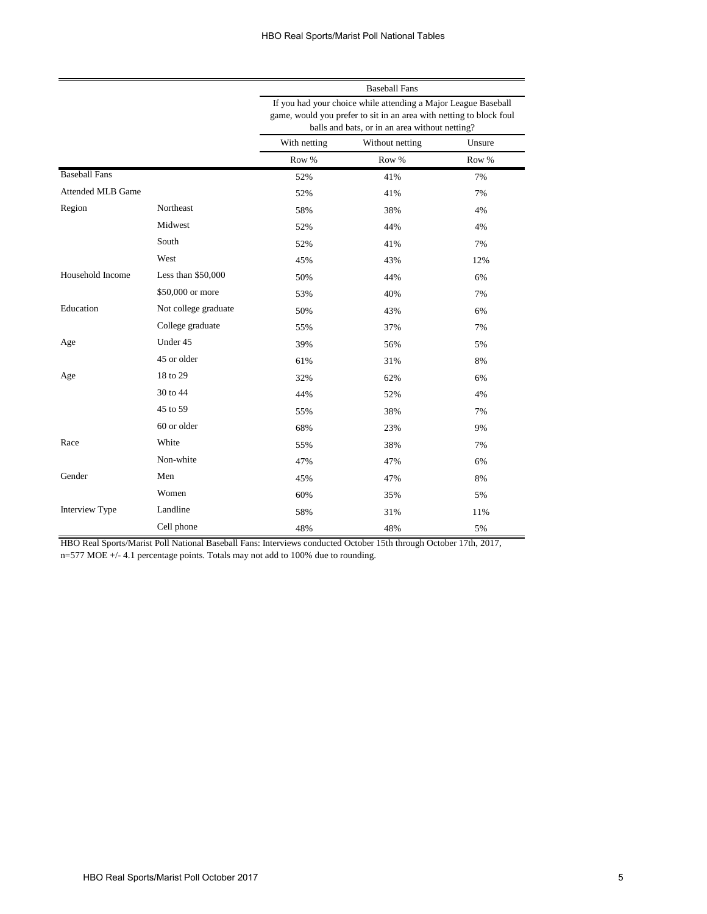|                          |                      | <b>Baseball Fans</b>                                                                                                                                                                    |                 |        |  |  |
|--------------------------|----------------------|-----------------------------------------------------------------------------------------------------------------------------------------------------------------------------------------|-----------------|--------|--|--|
|                          |                      | If you had your choice while attending a Major League Baseball<br>game, would you prefer to sit in an area with netting to block foul<br>balls and bats, or in an area without netting? |                 |        |  |  |
|                          |                      | With netting                                                                                                                                                                            | Without netting | Unsure |  |  |
|                          |                      | Row %                                                                                                                                                                                   | Row %           | Row %  |  |  |
| <b>Baseball Fans</b>     |                      | 52%                                                                                                                                                                                     | 41%             | 7%     |  |  |
| <b>Attended MLB Game</b> |                      | 52%                                                                                                                                                                                     | 41%             | 7%     |  |  |
| Region                   | Northeast            | 58%                                                                                                                                                                                     | 38%             | 4%     |  |  |
|                          | Midwest              | 52%                                                                                                                                                                                     | 44%             | 4%     |  |  |
|                          | South                | 52%                                                                                                                                                                                     | 41%             | 7%     |  |  |
|                          | West                 | 45%                                                                                                                                                                                     | 43%             | 12%    |  |  |
| Household Income         | Less than $$50,000$  | 50%                                                                                                                                                                                     | 44%             | 6%     |  |  |
|                          | \$50,000 or more     | 53%                                                                                                                                                                                     | 40%             | 7%     |  |  |
| Education                | Not college graduate | 50%                                                                                                                                                                                     | 43%             | 6%     |  |  |
|                          | College graduate     | 55%                                                                                                                                                                                     | 37%             | 7%     |  |  |
| Age                      | Under 45             | 39%                                                                                                                                                                                     | 56%             | 5%     |  |  |
|                          | 45 or older          | 61%                                                                                                                                                                                     | 31%             | 8%     |  |  |
| Age                      | 18 to 29             | 32%                                                                                                                                                                                     | 62%             | 6%     |  |  |
|                          | 30 to 44             | 44%                                                                                                                                                                                     | 52%             | 4%     |  |  |
|                          | 45 to 59             | 55%                                                                                                                                                                                     | 38%             | 7%     |  |  |
|                          | 60 or older          | 68%                                                                                                                                                                                     | 23%             | 9%     |  |  |
| Race                     | White                | 55%                                                                                                                                                                                     | 38%             | 7%     |  |  |
|                          | Non-white            | 47%                                                                                                                                                                                     | 47%             | 6%     |  |  |
| Gender                   | Men                  | 45%                                                                                                                                                                                     | 47%             | 8%     |  |  |
|                          | Women                | 60%                                                                                                                                                                                     | 35%             | 5%     |  |  |
| Interview Type           | Landline             | 58%                                                                                                                                                                                     | 31%             | 11%    |  |  |
|                          | Cell phone           | 48%                                                                                                                                                                                     | 48%             | 5%     |  |  |

HBO Real Sports/Marist Poll National Baseball Fans: Interviews conducted October 15th through October 17th, 2017, n=577 MOE +/- 4.1 percentage points. Totals may not add to 100% due to rounding.

=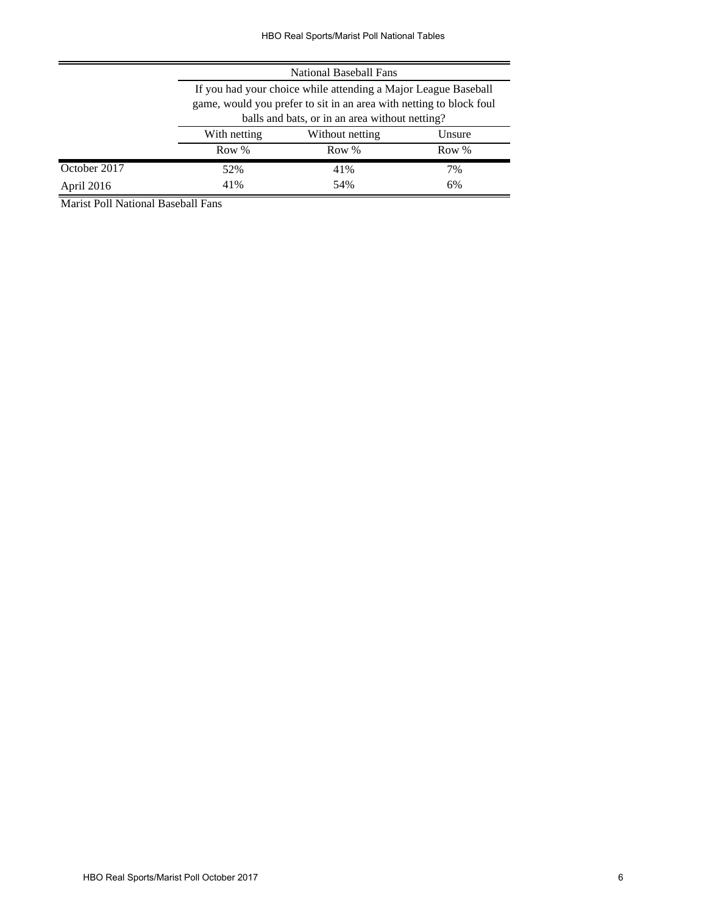|              | National Baseball Fans  |                                                                     |    |  |  |  |
|--------------|-------------------------|---------------------------------------------------------------------|----|--|--|--|
|              |                         | If you had your choice while attending a Major League Baseball      |    |  |  |  |
|              |                         | game, would you prefer to sit in an area with netting to block foul |    |  |  |  |
|              |                         | balls and bats, or in an area without netting?                      |    |  |  |  |
|              | With netting            | Without netting<br>Unsure                                           |    |  |  |  |
|              | Row %<br>Row %<br>Row % |                                                                     |    |  |  |  |
| October 2017 | 52%                     | 41%                                                                 | 7% |  |  |  |
| April 2016   | 41%                     | 54%<br>6%                                                           |    |  |  |  |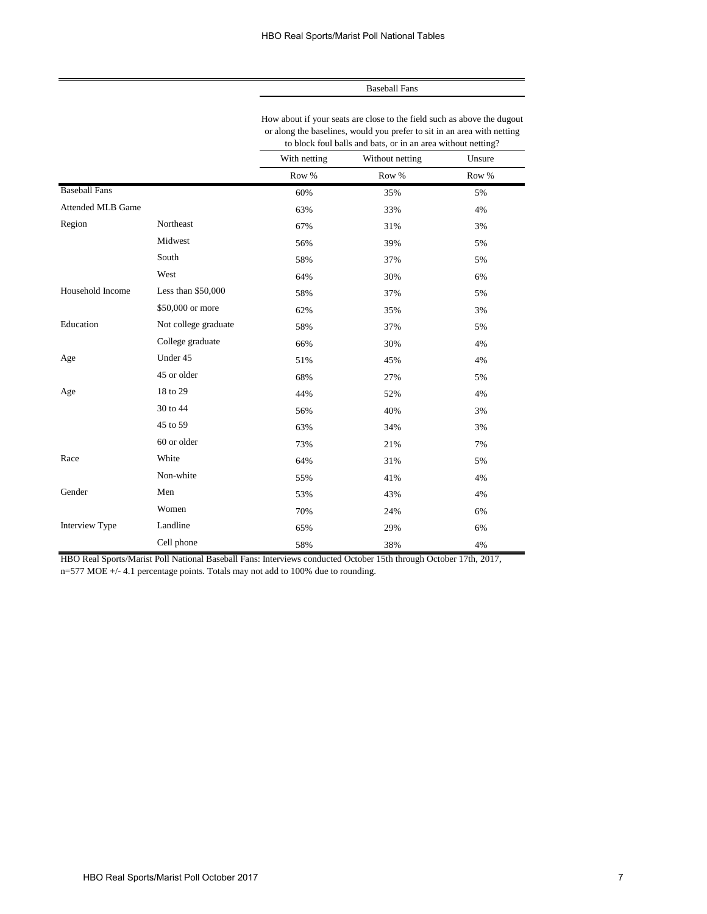How about if your seats are close to the field such as above the dugout or along the baselines, would you prefer to sit in an area with netting to block foul balls and bats, or in an area without netting?

|                          |                      | With netting | Without netting | Unsure   |
|--------------------------|----------------------|--------------|-----------------|----------|
|                          |                      | Row %        | Row %           | Row $\%$ |
| <b>Baseball Fans</b>     |                      | 60%          | 35%             | 5%       |
| <b>Attended MLB Game</b> |                      | 63%          | 33%             | 4%       |
| Region                   | Northeast            | 67%          | 31%             | 3%       |
|                          | Midwest              | 56%          | 39%             | 5%       |
|                          | South                | 58%          | 37%             | 5%       |
|                          | West                 | 64%          | 30%             | 6%       |
| Household Income         | Less than \$50,000   | 58%          | 37%             | 5%       |
|                          | \$50,000 or more     | 62%          | 35%             | 3%       |
| Education                | Not college graduate | 58%          | 37%             | 5%       |
|                          | College graduate     | 66%          | 30%             | 4%       |
| Age                      | Under 45             | 51%          | 45%             | 4%       |
|                          | 45 or older          | 68%          | 27%             | 5%       |
| Age                      | 18 to 29             | 44%          | 52%             | 4%       |
|                          | 30 to 44             | 56%          | 40%             | 3%       |
|                          | 45 to 59             | 63%          | 34%             | 3%       |
|                          | 60 or older          | 73%          | 21%             | 7%       |
| Race                     | White                | 64%          | 31%             | 5%       |
|                          | Non-white            | 55%          | 41%             | 4%       |
| Gender                   | Men                  | 53%          | 43%             | 4%       |
|                          | Women                | 70%          | 24%             | 6%       |
| Interview Type           | Landline             | 65%          | 29%             | 6%       |
|                          | Cell phone           | 58%          | 38%             | 4%       |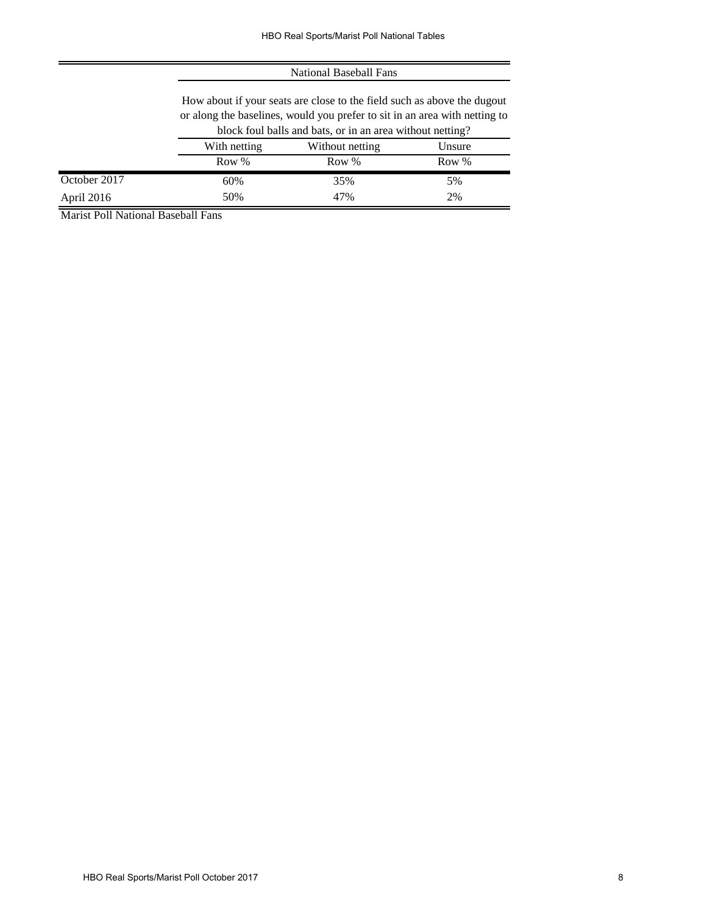#### National Baseball Fans

How about if your seats are close to the field such as above the dugout or along the baselines, would you prefer to sit in an area with netting to block foul balls and bats, or in an area without netting?

|              | $0.10$ with $0.001$ and $0.001$ and $0.001$ and $0.001$ and $0.001$ and $0.001$ and $0.001$ and $0.001$ |                 |        |  |  |
|--------------|---------------------------------------------------------------------------------------------------------|-----------------|--------|--|--|
|              | With netting                                                                                            | Without netting | Unsure |  |  |
|              | Row %                                                                                                   | Row %           | Row %  |  |  |
| October 2017 | 60%                                                                                                     | 35%             | 5%     |  |  |
| April 2016   | 50%                                                                                                     | 47%             | 2%     |  |  |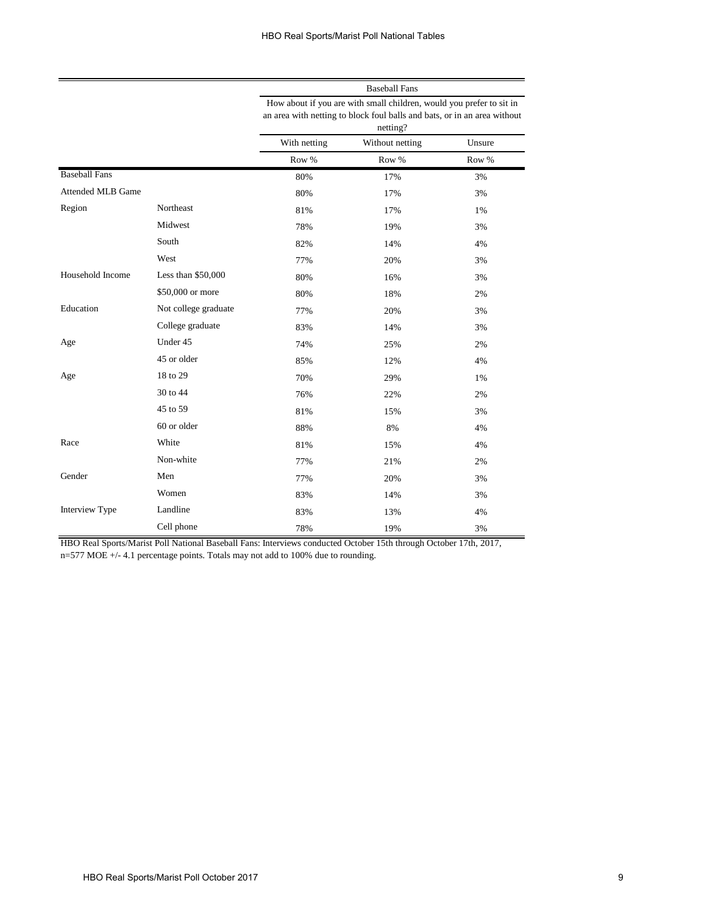|                          |                      | How about if you are with small children, would you prefer to sit in<br>an area with netting to block foul balls and bats, or in an area without<br>netting? |                 |        |
|--------------------------|----------------------|--------------------------------------------------------------------------------------------------------------------------------------------------------------|-----------------|--------|
|                          |                      | With netting                                                                                                                                                 | Without netting | Unsure |
|                          |                      | Row %                                                                                                                                                        | Row %           | Row %  |
| <b>Baseball Fans</b>     |                      | 80%                                                                                                                                                          | 17%             | 3%     |
| <b>Attended MLB Game</b> |                      | 80%                                                                                                                                                          | 17%             | 3%     |
| Region                   | Northeast            | 81%                                                                                                                                                          | 17%             | 1%     |
|                          | Midwest              | 78%                                                                                                                                                          | 19%             | 3%     |
|                          | South                | 82%                                                                                                                                                          | 14%             | 4%     |
|                          | West                 | 77%                                                                                                                                                          | 20%             | 3%     |
| Household Income         | Less than \$50,000   | 80%                                                                                                                                                          | 16%             | 3%     |
|                          | \$50,000 or more     | 80%                                                                                                                                                          | 18%             | 2%     |
| Education                | Not college graduate | 77%                                                                                                                                                          | 20%             | 3%     |
|                          | College graduate     | 83%                                                                                                                                                          | 14%             | 3%     |
| Age                      | Under 45             | 74%                                                                                                                                                          | 25%             | 2%     |
|                          | 45 or older          | 85%                                                                                                                                                          | 12%             | 4%     |
| Age                      | 18 to 29             | 70%                                                                                                                                                          | 29%             | 1%     |
|                          | 30 to 44             | 76%                                                                                                                                                          | 22%             | 2%     |
|                          | 45 to 59             | 81%                                                                                                                                                          | 15%             | 3%     |
|                          | 60 or older          | 88%                                                                                                                                                          | 8%              | 4%     |
| Race                     | White                | 81%                                                                                                                                                          | 15%             | 4%     |
|                          | Non-white            | 77%                                                                                                                                                          | 21%             | 2%     |
| Gender                   | Men                  | 77%                                                                                                                                                          | 20%             | 3%     |
|                          | Women                | 83%                                                                                                                                                          | 14%             | 3%     |
| Interview Type           | Landline             | 83%                                                                                                                                                          | 13%             | 4%     |
|                          | Cell phone           | 78%                                                                                                                                                          | 19%             | 3%     |

HBO Real Sports/Marist Poll National Baseball Fans: Interviews conducted October 15th through October 17th, 2017, n=577 MOE +/- 4.1 percentage points. Totals may not add to 100% due to rounding.

=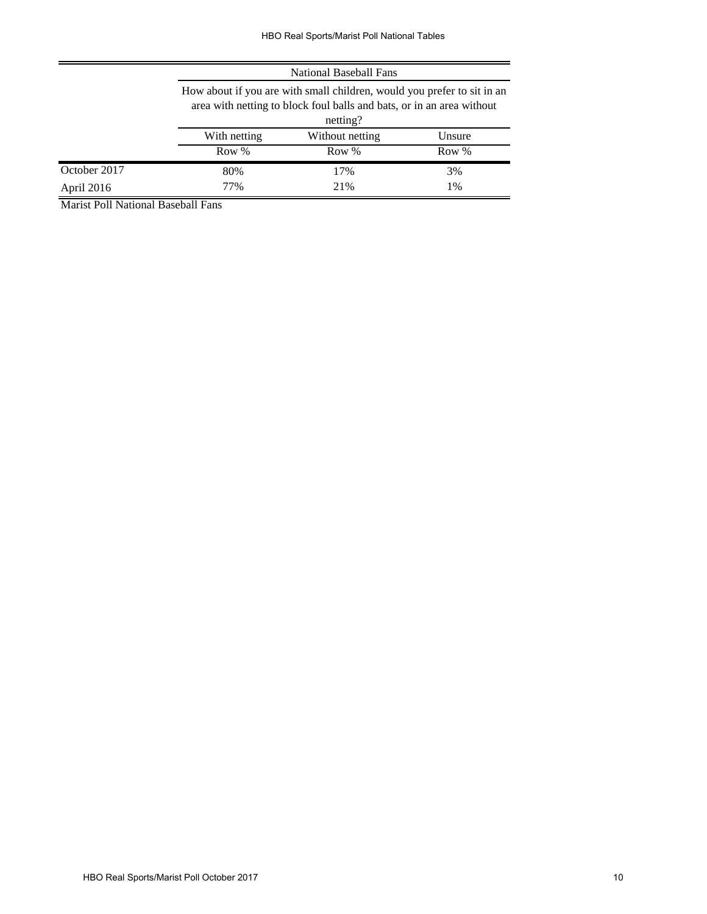|              | National Baseball Fans                                                                                                                                       |                           |    |  |  |  |  |
|--------------|--------------------------------------------------------------------------------------------------------------------------------------------------------------|---------------------------|----|--|--|--|--|
|              | How about if you are with small children, would you prefer to sit in an<br>area with netting to block foul balls and bats, or in an area without<br>netting? |                           |    |  |  |  |  |
|              | With netting                                                                                                                                                 | Without netting<br>Unsure |    |  |  |  |  |
|              | Row %<br>Row %<br>Row %                                                                                                                                      |                           |    |  |  |  |  |
| October 2017 | 80%                                                                                                                                                          | 17%                       | 3% |  |  |  |  |
| April 2016   | 21%<br>77%<br>1%                                                                                                                                             |                           |    |  |  |  |  |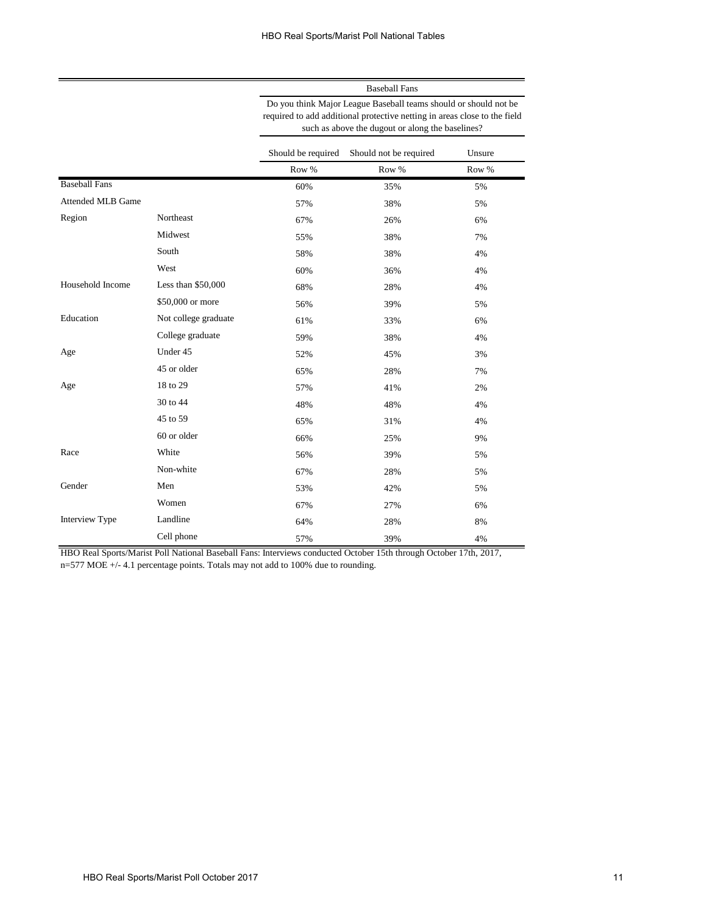| <b>Baseball Fans</b>                                                                                                                                                                              |                                           |        |  |  |
|---------------------------------------------------------------------------------------------------------------------------------------------------------------------------------------------------|-------------------------------------------|--------|--|--|
| Do you think Major League Baseball teams should or should not be<br>required to add additional protective netting in areas close to the field<br>such as above the dugout or along the baselines? |                                           |        |  |  |
|                                                                                                                                                                                                   | Should be required Should not be required | Unsure |  |  |

|                          |                      | Row % | Row % | Row % |
|--------------------------|----------------------|-------|-------|-------|
| <b>Baseball Fans</b>     |                      | 60%   | 35%   | 5%    |
| <b>Attended MLB Game</b> |                      | 57%   | 38%   | 5%    |
| Region                   | Northeast            | 67%   | 26%   | 6%    |
|                          | Midwest              | 55%   | 38%   | 7%    |
|                          | South                | 58%   | 38%   | 4%    |
|                          | West                 | 60%   | 36%   | 4%    |
| Household Income         | Less than \$50,000   | 68%   | 28%   | 4%    |
|                          | \$50,000 or more     | 56%   | 39%   | 5%    |
| Education                | Not college graduate | 61%   | 33%   | 6%    |
|                          | College graduate     | 59%   | 38%   | 4%    |
| Age                      | Under 45             | 52%   | 45%   | 3%    |
|                          | 45 or older          | 65%   | 28%   | 7%    |
| Age                      | 18 to 29             | 57%   | 41%   | 2%    |
|                          | 30 to 44             | 48%   | 48%   | 4%    |
|                          | 45 to 59             | 65%   | 31%   | 4%    |
|                          | 60 or older          | 66%   | 25%   | 9%    |
| Race                     | White                | 56%   | 39%   | 5%    |
|                          | Non-white            | 67%   | 28%   | 5%    |
| Gender                   | Men                  | 53%   | 42%   | 5%    |
|                          | Women                | 67%   | 27%   | 6%    |
| Interview Type           | Landline             | 64%   | 28%   | 8%    |
|                          | Cell phone           | 57%   | 39%   | 4%    |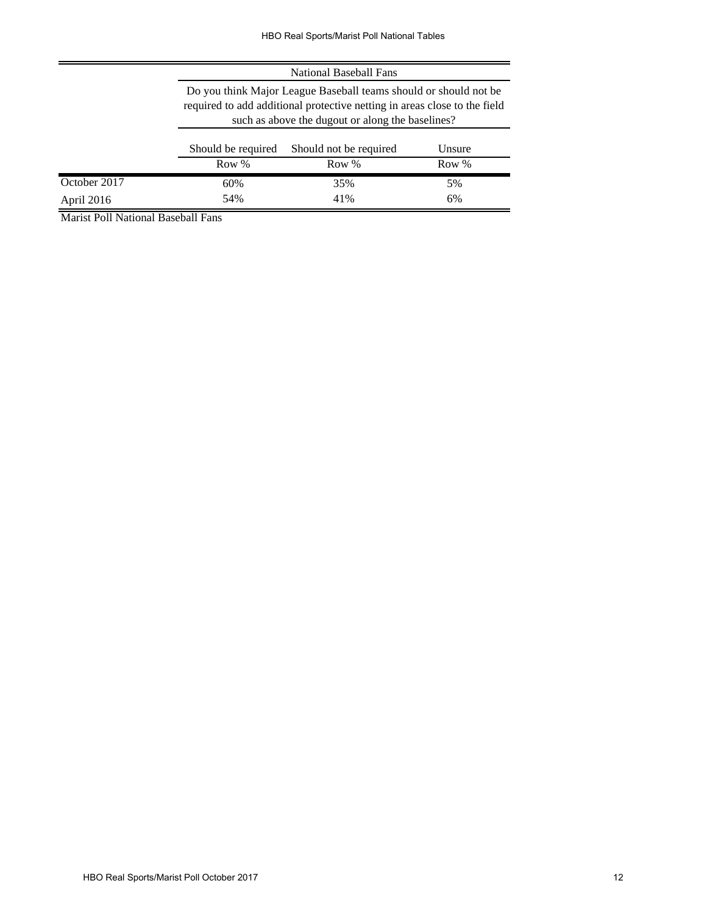|              | National Baseball Fans |                                                                                                                                                                                                   |        |  |
|--------------|------------------------|---------------------------------------------------------------------------------------------------------------------------------------------------------------------------------------------------|--------|--|
|              |                        | Do you think Major League Baseball teams should or should not be<br>required to add additional protective netting in areas close to the field<br>such as above the dugout or along the baselines? |        |  |
|              | Should be required     | Should not be required                                                                                                                                                                            | Unsure |  |
|              | Row %                  | Row %                                                                                                                                                                                             | Row %  |  |
| October 2017 | 60%                    | 35%                                                                                                                                                                                               | 5%     |  |
| April 2016   | 54%                    | 41%                                                                                                                                                                                               | 6%     |  |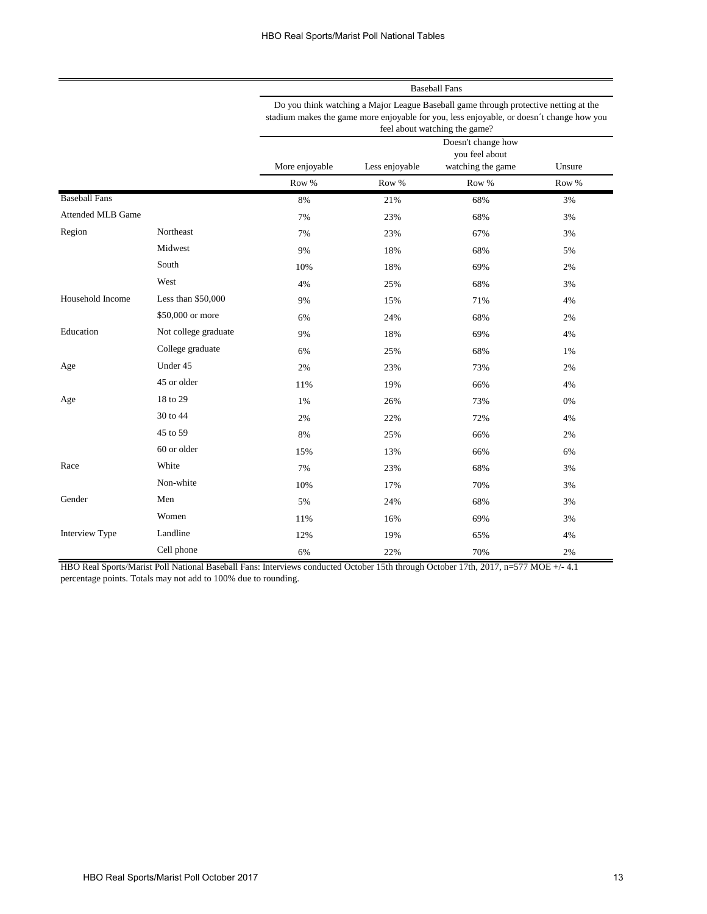Do you think watching a Major League Baseball game through protective netting at the stadium makes the game more enjoyable for you, less enjoyable, or doesn´t change how you feel about watching the game?

|                          |                      | --- o          |                |                                                           |        |
|--------------------------|----------------------|----------------|----------------|-----------------------------------------------------------|--------|
|                          |                      | More enjoyable | Less enjoyable | Doesn't change how<br>you feel about<br>watching the game | Unsure |
|                          |                      | Row %          | Row %          | Row %                                                     | Row %  |
| <b>Baseball Fans</b>     |                      | 8%             | 21%            | 68%                                                       | 3%     |
| <b>Attended MLB Game</b> |                      | 7%             | 23%            | 68%                                                       | 3%     |
| Region                   | Northeast            | 7%             | 23%            | 67%                                                       | 3%     |
|                          | Midwest              | 9%             | 18%            | 68%                                                       | 5%     |
|                          | South                | 10%            | 18%            | 69%                                                       | 2%     |
|                          | West                 | 4%             | 25%            | 68%                                                       | 3%     |
| Household Income         | Less than \$50,000   | 9%             | 15%            | 71%                                                       | 4%     |
|                          | \$50,000 or more     | 6%             | 24%            | 68%                                                       | 2%     |
| Education                | Not college graduate | 9%             | 18%            | 69%                                                       | 4%     |
|                          | College graduate     | 6%             | 25%            | 68%                                                       | 1%     |
| Age                      | Under 45             | 2%             | 23%            | 73%                                                       | 2%     |
|                          | 45 or older          | 11%            | 19%            | 66%                                                       | 4%     |
| Age                      | 18 to 29             | 1%             | 26%            | 73%                                                       | 0%     |
|                          | 30 to 44             | 2%             | 22%            | 72%                                                       | 4%     |
|                          | 45 to 59             | 8%             | 25%            | 66%                                                       | 2%     |
|                          | 60 or older          | 15%            | 13%            | 66%                                                       | 6%     |
| Race                     | White                | 7%             | 23%            | 68%                                                       | 3%     |
|                          | Non-white            | 10%            | 17%            | 70%                                                       | 3%     |
| Gender                   | Men                  | 5%             | 24%            | 68%                                                       | 3%     |
|                          | Women                | 11%            | 16%            | 69%                                                       | 3%     |
| Interview Type           | Landline             | 12%            | 19%            | 65%                                                       | 4%     |
|                          | Cell phone           | 6%             | 22%            | 70%                                                       | 2%     |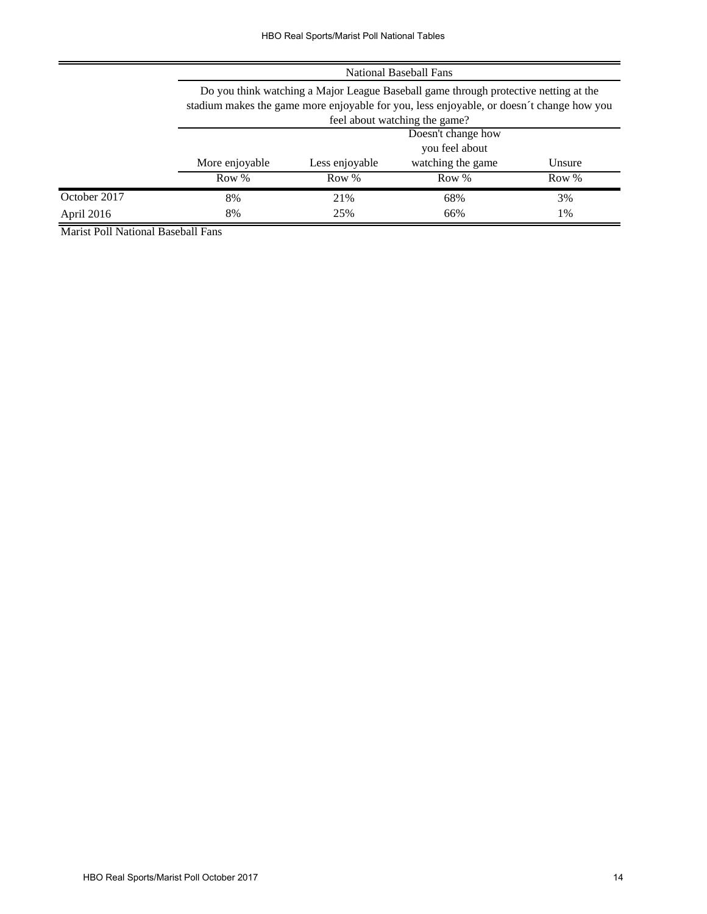|              | National Baseball Fans                                                                                                                                                                                            |                |                   |        |
|--------------|-------------------------------------------------------------------------------------------------------------------------------------------------------------------------------------------------------------------|----------------|-------------------|--------|
|              | Do you think watching a Major League Baseball game through protective netting at the<br>stadium makes the game more enjoyable for you, less enjoyable, or doesn't change how you<br>feel about watching the game? |                |                   |        |
|              | Doesn't change how                                                                                                                                                                                                |                |                   |        |
|              |                                                                                                                                                                                                                   |                | you feel about    |        |
|              | More enjoyable                                                                                                                                                                                                    | Less enjoyable | watching the game | Unsure |
|              | Row %                                                                                                                                                                                                             | Row %          | Row %             | Row %  |
| October 2017 | 8%                                                                                                                                                                                                                | 21%            | 68%               | 3%     |
| April 2016   | 8%                                                                                                                                                                                                                | 25%            | 66%               | 1%     |